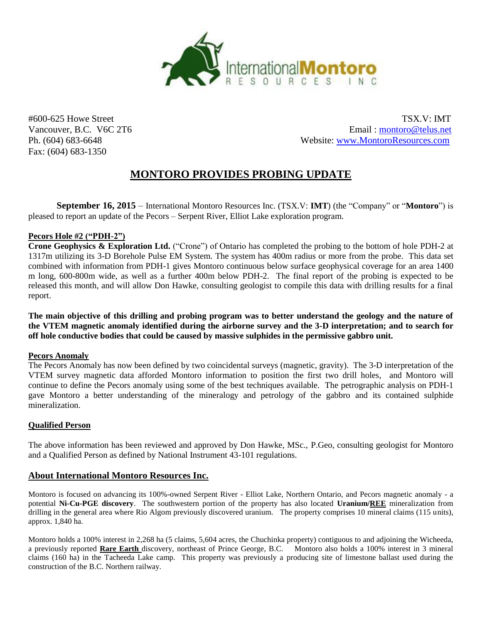

Fax: (604) 683-1350

#600-625 Howe Street TSX.V: IMT Vancouver, B.C. V6C 2T6 Email: montoro@telus.net Ph. (604) 683-6648 Website: [www.MontoroResources.com](http://www.montororesources.com/) 

# **MONTORO PROVIDES PROBING UPDATE**

**September 16, 2015** – International Montoro Resources Inc. (TSX.V: **IMT**) (the "Company" or "**Montoro**") is pleased to report an update of the Pecors – Serpent River, Elliot Lake exploration program.

## **Pecors Hole #2 ("PDH-2")**

**Crone Geophysics & Exploration Ltd.** ("Crone") of Ontario has completed the probing to the bottom of hole PDH-2 at 1317m utilizing its 3-D Borehole Pulse EM System. The system has 400m radius or more from the probe. This data set combined with information from PDH-1 gives Montoro continuous below surface geophysical coverage for an area 1400 m long, 600-800m wide, as well as a further 400m below PDH-2. The final report of the probing is expected to be released this month, and will allow Don Hawke, consulting geologist to compile this data with drilling results for a final report.

**The main objective of this drilling and probing program was to better understand the geology and the nature of the VTEM magnetic anomaly identified during the airborne survey and the 3-D interpretation; and to search for off hole conductive bodies that could be caused by massive sulphides in the permissive gabbro unit.**

#### **Pecors Anomaly**

The Pecors Anomaly has now been defined by two coincidental surveys (magnetic, gravity). The 3-D interpretation of the VTEM survey magnetic data afforded Montoro information to position the first two drill holes, and Montoro will continue to define the Pecors anomaly using some of the best techniques available. The petrographic analysis on PDH-1 gave Montoro a better understanding of the mineralogy and petrology of the gabbro and its contained sulphide mineralization.

#### **Qualified Person**

The above information has been reviewed and approved by Don Hawke, MSc., P.Geo, consulting geologist for Montoro and a Qualified Person as defined by National Instrument 43-101 regulations.

## **About International Montoro Resources Inc.**

Montoro is focused on advancing its 100%-owned Serpent River - Elliot Lake, Northern Ontario, and Pecors magnetic anomaly - a potential **Ni-Cu-PGE discovery**. The southwestern portion of the property has also located **Uranium/REE** mineralization from drilling in the general area where Rio Algom previously discovered uranium. The property comprises 10 mineral claims (115 units), approx. 1,840 ha.

Montoro holds a 100% interest in 2,268 ha (5 claims, 5,604 acres, the Chuchinka property) contiguous to and adjoining the Wicheeda, a previously reported **Rare Earth** discovery, northeast of Prince George, B.C.Montoro also holds a 100% interest in 3 mineral claims (160 ha) in the Tacheeda Lake camp. This property was previously a producing site of limestone ballast used during the construction of the B.C. Northern railway.